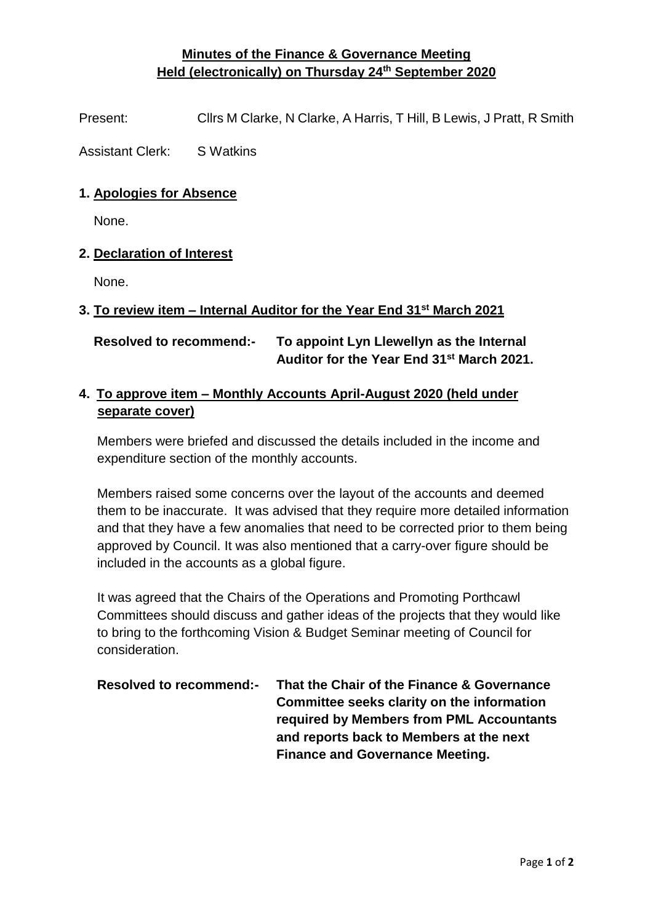## **Minutes of the Finance & Governance Meeting Held (electronically) on Thursday 24th September 2020**

Present: Cllrs M Clarke, N Clarke, A Harris, T Hill, B Lewis, J Pratt, R Smith

Assistant Clerk: S Watkins

### **1. Apologies for Absence**

None.

### **2. Declaration of Interest**

None.

### **3. To review item – Internal Auditor for the Year End 31st March 2021**

# **Resolved to recommend:- To appoint Lyn Llewellyn as the Internal Auditor for the Year End 31st March 2021.**

## **4. To approve item – Monthly Accounts April-August 2020 (held under separate cover)**

Members were briefed and discussed the details included in the income and expenditure section of the monthly accounts.

Members raised some concerns over the layout of the accounts and deemed them to be inaccurate. It was advised that they require more detailed information and that they have a few anomalies that need to be corrected prior to them being approved by Council. It was also mentioned that a carry-over figure should be included in the accounts as a global figure.

It was agreed that the Chairs of the Operations and Promoting Porthcawl Committees should discuss and gather ideas of the projects that they would like to bring to the forthcoming Vision & Budget Seminar meeting of Council for consideration.

| <b>Resolved to recommend:-</b> | That the Chair of the Finance & Governance |
|--------------------------------|--------------------------------------------|
|                                | Committee seeks clarity on the information |
|                                | required by Members from PML Accountants   |
|                                | and reports back to Members at the next    |
|                                | <b>Finance and Governance Meeting.</b>     |